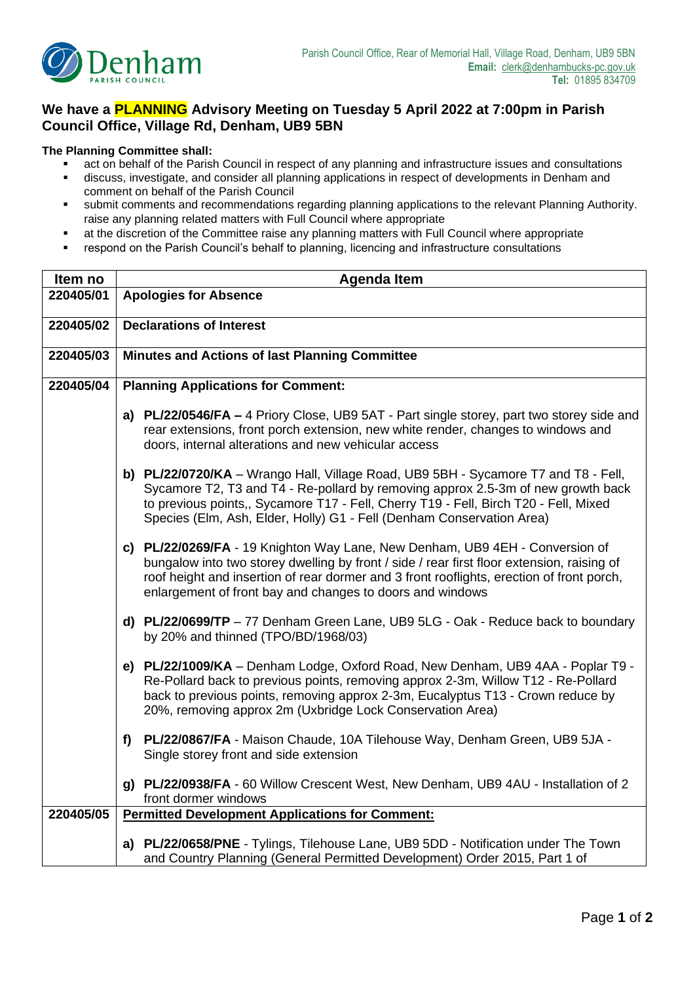

## **We have a PLANNING Advisory Meeting on Tuesday 5 April 2022 at 7:00pm in Parish Council Office, Village Rd, Denham, UB9 5BN**

## **The Planning Committee shall:**

- act on behalf of the Parish Council in respect of any planning and infrastructure issues and consultations
- discuss, investigate, and consider all planning applications in respect of developments in Denham and comment on behalf of the Parish Council
- submit comments and recommendations regarding planning applications to the relevant Planning Authority. raise any planning related matters with Full Council where appropriate
- at the discretion of the Committee raise any planning matters with Full Council where appropriate
- respond on the Parish Council's behalf to planning, licencing and infrastructure consultations

| Item no   | <b>Agenda Item</b>                                                                                                                                                                                                                                                                                                                      |
|-----------|-----------------------------------------------------------------------------------------------------------------------------------------------------------------------------------------------------------------------------------------------------------------------------------------------------------------------------------------|
| 220405/01 | <b>Apologies for Absence</b>                                                                                                                                                                                                                                                                                                            |
|           |                                                                                                                                                                                                                                                                                                                                         |
| 220405/02 | <b>Declarations of Interest</b>                                                                                                                                                                                                                                                                                                         |
| 220405/03 | Minutes and Actions of last Planning Committee                                                                                                                                                                                                                                                                                          |
|           |                                                                                                                                                                                                                                                                                                                                         |
| 220405/04 | <b>Planning Applications for Comment:</b>                                                                                                                                                                                                                                                                                               |
|           | a) PL/22/0546/FA - 4 Priory Close, UB9 5AT - Part single storey, part two storey side and<br>rear extensions, front porch extension, new white render, changes to windows and<br>doors, internal alterations and new vehicular access                                                                                                   |
|           | b) PL/22/0720/KA - Wrango Hall, Village Road, UB9 5BH - Sycamore T7 and T8 - Fell,<br>Sycamore T2, T3 and T4 - Re-pollard by removing approx 2.5-3m of new growth back<br>to previous points,, Sycamore T17 - Fell, Cherry T19 - Fell, Birch T20 - Fell, Mixed<br>Species (Elm, Ash, Elder, Holly) G1 - Fell (Denham Conservation Area) |
|           | c) PL/22/0269/FA - 19 Knighton Way Lane, New Denham, UB9 4EH - Conversion of<br>bungalow into two storey dwelling by front / side / rear first floor extension, raising of<br>roof height and insertion of rear dormer and 3 front rooflights, erection of front porch,<br>enlargement of front bay and changes to doors and windows    |
|           | d) PL/22/0699/TP $-77$ Denham Green Lane, UB9 5LG - Oak - Reduce back to boundary<br>by 20% and thinned (TPO/BD/1968/03)                                                                                                                                                                                                                |
|           | e) PL/22/1009/KA - Denham Lodge, Oxford Road, New Denham, UB9 4AA - Poplar T9 -<br>Re-Pollard back to previous points, removing approx 2-3m, Willow T12 - Re-Pollard<br>back to previous points, removing approx 2-3m, Eucalyptus T13 - Crown reduce by<br>20%, removing approx 2m (Uxbridge Lock Conservation Area)                    |
|           | PL/22/0867/FA - Maison Chaude, 10A Tilehouse Way, Denham Green, UB9 5JA -<br>f<br>Single storey front and side extension                                                                                                                                                                                                                |
|           | g) PL/22/0938/FA - 60 Willow Crescent West, New Denham, UB9 4AU - Installation of 2<br>front dormer windows                                                                                                                                                                                                                             |
| 220405/05 | <b>Permitted Development Applications for Comment:</b>                                                                                                                                                                                                                                                                                  |
|           | a) PL/22/0658/PNE - Tylings, Tilehouse Lane, UB9 5DD - Notification under The Town<br>and Country Planning (General Permitted Development) Order 2015, Part 1 of                                                                                                                                                                        |